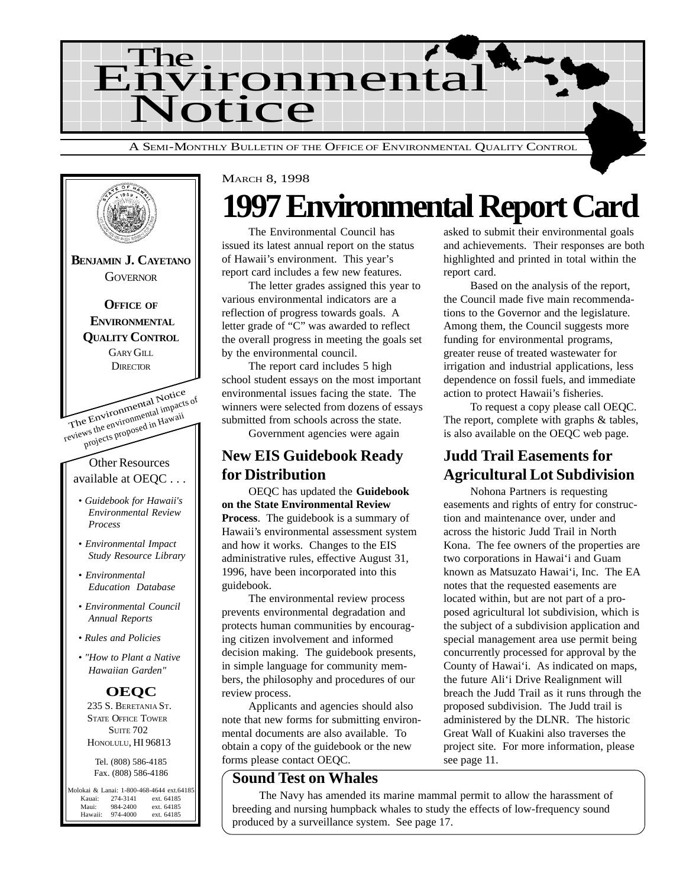



## **1997 Environmental Report Card**

The Environmental Council has issued its latest annual report on the status of Hawaii's environment. This year's report card includes a few new features.

The letter grades assigned this year to various environmental indicators are a reflection of progress towards goals. A letter grade of "C" was awarded to reflect the overall progress in meeting the goals set by the environmental council.

The report card includes 5 high school student essays on the most important environmental issues facing the state. The winners were selected from dozens of essays submitted from schools across the state.

Government agencies were again

## **New EIS Guidebook Ready for Distribution**

OEQC has updated the **Guidebook on the State Environmental Review Process**. The guidebook is a summary of Hawaii's environmental assessment system and how it works. Changes to the EIS administrative rules, effective August 31, 1996, have been incorporated into this guidebook.

The environmental review process prevents environmental degradation and protects human communities by encouraging citizen involvement and informed decision making. The guidebook presents, in simple language for community members, the philosophy and procedures of our review process.

Applicants and agencies should also note that new forms for submitting environmental documents are also available. To obtain a copy of the guidebook or the new forms please contact OEQC.

#### **Sound Test on Whales**

The Navy has amended its marine mammal permit to allow the harassment of breeding and nursing humpback whales to study the effects of low-frequency sound produced by a surveillance system. See page 17.

asked to submit their environmental goals and achievements. Their responses are both highlighted and printed in total within the report card.

Based on the analysis of the report, the Council made five main recommendations to the Governor and the legislature. Among them, the Council suggests more funding for environmental programs, greater reuse of treated wastewater for irrigation and industrial applications, less dependence on fossil fuels, and immediate action to protect Hawaii's fisheries.

To request a copy please call OEQC. The report, complete with graphs & tables, is also available on the OEQC web page.

## **Judd Trail Easements for Agricultural Lot Subdivision**

Nohona Partners is requesting easements and rights of entry for construction and maintenance over, under and across the historic Judd Trail in North Kona. The fee owners of the properties are two corporations in Hawai'i and Guam known as Matsuzato Hawai'i, Inc. The EA notes that the requested easements are located within, but are not part of a proposed agricultural lot subdivision, which is the subject of a subdivision application and special management area use permit being concurrently processed for approval by the County of Hawai'i. As indicated on maps, the future Ali'i Drive Realignment will breach the Judd Trail as it runs through the proposed subdivision. The Judd trail is administered by the DLNR. The historic Great Wall of Kuakini also traverses the project site. For more information, please see page 11.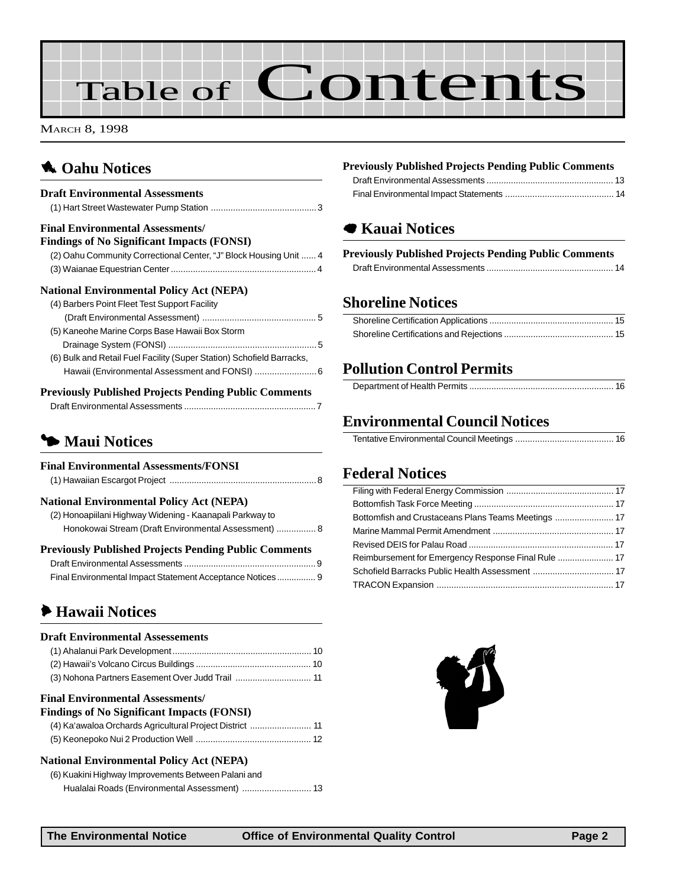# Table of Contents

MARCH 8, 1998

## **1** [Oahu Notices](#page-2-0)

| <b>Draft Environmental Assessments</b>                                |
|-----------------------------------------------------------------------|
| <b>Final Environmental Assessments/</b>                               |
| <b>Findings of No Significant Impacts (FONSI)</b>                     |
| (2) Oahu Community Correctional Center, "J" Block Housing Unit  4     |
|                                                                       |
| <b>National Environmental Policy Act (NEPA)</b>                       |
| (4) Barbers Point Fleet Test Support Facility                         |
|                                                                       |
| (5) Kaneohe Marine Corps Base Hawaii Box Storm                        |
|                                                                       |
| (6) Bulk and Retail Fuel Facility (Super Station) Schofield Barracks, |
| Hawaii (Environmental Assessment and FONSI)  6                        |
| <b>Previously Published Projects Pending Public Comments</b>          |

## 3 **Maui Notices**

| <b>Final Environmental Assessments/FONSI</b>                 |  |
|--------------------------------------------------------------|--|
| <b>National Environmental Policy Act (NEPA)</b>              |  |
| (2) Honoapiilani Highway Widening - Kaanapali Parkway to     |  |
| Honokowai Stream (Draft Environmental Assessment)  8         |  |
| <b>Previously Published Projects Pending Public Comments</b> |  |
|                                                              |  |
| Final Environmental Impact Statement Acceptance Notices 9    |  |

## 6 **Hawaii Notices**

#### **Draft Environmental Assessements** [\(1\) Ahalanui Park Development......................................................... 10](#page-9-0) [\(2\) Hawaii's Volcano Circus Buildings ............................................... 10](#page-9-0) [\(3\) Nohona Partners Easement Over Judd Trail ............................... 11](#page-10-0) **Final Environmental Assessments/ Findings of No Significant Impacts (FONSI)** [\(4\) Ka'awaloa Orchards Agricultural Project District ......................... 11](#page-10-0) [\(5\) Keonepoko Nui 2 Production Well ............................................... 12](#page-11-0) **National Environmental Policy Act (NEPA)** [\(6\) Kuakini Highway Improvements Between Palani and](#page-12-0) Hualalai Roads (Environmental Assessment) ............................ 13

#### **Previously Published Projects Pending Public Comments**

## 7 **Kauai Notices**

#### **Previously Published Projects Pending Public Comments**

## **Shoreline Notices**

## **Pollution Control Permits**

## **Environmental Council Notices**

|--|--|

## **Federal Notices**

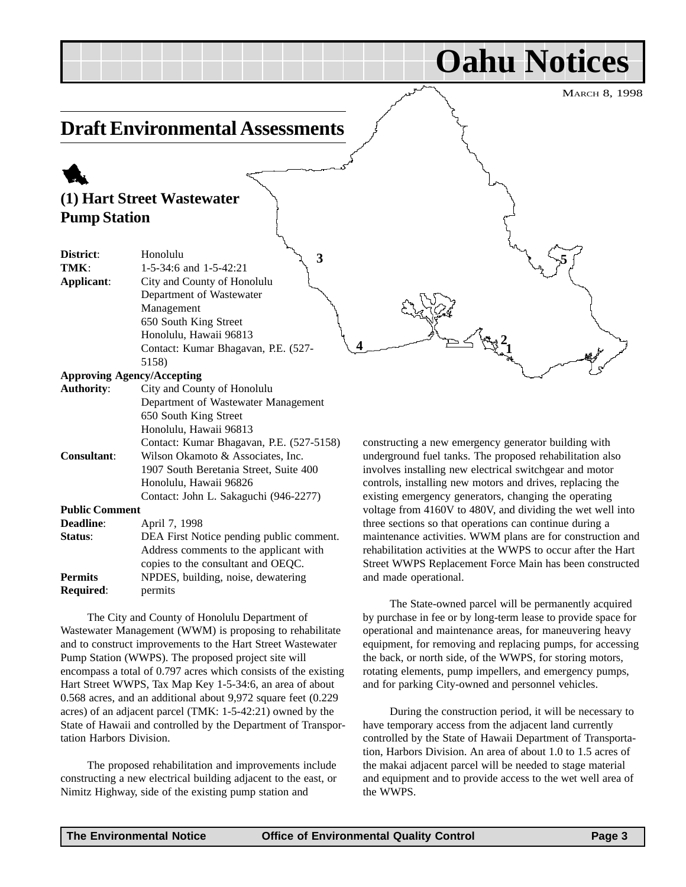**Oahu Notices**

**5**

## <span id="page-2-0"></span>**Draft Environmental Assessments**

## 1 **(1) Hart Street Wastewater Pump Station**

| District:             | Honolulu<br>3                            |
|-----------------------|------------------------------------------|
| TMK:                  | $1-5-34:6$ and $1-5-42:21$               |
| Applicant:            | City and County of Honolulu              |
|                       | Department of Wastewater                 |
|                       | Management                               |
|                       | 650 South King Street                    |
|                       | Honolulu, Hawaii 96813                   |
|                       | Contact: Kumar Bhagavan, P.E. (527-      |
|                       | 5158)                                    |
|                       | <b>Approving Agency/Accepting</b>        |
| <b>Authority:</b>     | City and County of Honolulu              |
|                       | Department of Wastewater Management      |
|                       | 650 South King Street                    |
|                       | Honolulu, Hawaii 96813                   |
|                       | Contact: Kumar Bhagavan, P.E. (527-5158) |
| <b>Consultant:</b>    | Wilson Okamoto & Associates, Inc.        |
|                       | 1907 South Beretania Street, Suite 400   |
|                       | Honolulu, Hawaii 96826                   |
|                       | Contact: John L. Sakaguchi (946-2277)    |
| <b>Public Comment</b> |                                          |
| <b>Deadline:</b>      | April 7, 1998                            |
| Status:               | DEA First Notice pending public comment. |
|                       | Address comments to the applicant with   |
|                       | copies to the consultant and OEQC.       |
| <b>Permits</b>        | NPDES, building, noise, dewatering       |

**Required**: permits

The City and County of Honolulu Department of Wastewater Management (WWM) is proposing to rehabilitate and to construct improvements to the Hart Street Wastewater Pump Station (WWPS). The proposed project site will encompass a total of 0.797 acres which consists of the existing Hart Street WWPS, Tax Map Key 1-5-34:6, an area of about 0.568 acres, and an additional about 9,972 square feet (0.229 acres) of an adjacent parcel (TMK: 1-5-42:21) owned by the State of Hawaii and controlled by the Department of Transportation Harbors Division.

The proposed rehabilitation and improvements include constructing a new electrical building adjacent to the east, or Nimitz Highway, side of the existing pump station and

constructing a new emergency generator building with underground fuel tanks. The proposed rehabilitation also involves installing new electrical switchgear and motor controls, installing new motors and drives, replacing the existing emergency generators, changing the operating voltage from 4160V to 480V, and dividing the wet well into three sections so that operations can continue during a maintenance activities. WWM plans are for construction and rehabilitation activities at the WWPS to occur after the Hart Street WWPS Replacement Force Main has been constructed and made operational.

**1 2**

The State-owned parcel will be permanently acquired by purchase in fee or by long-term lease to provide space for operational and maintenance areas, for maneuvering heavy equipment, for removing and replacing pumps, for accessing the back, or north side, of the WWPS, for storing motors, rotating elements, pump impellers, and emergency pumps, and for parking City-owned and personnel vehicles.

During the construction period, it will be necessary to have temporary access from the adjacent land currently controlled by the State of Hawaii Department of Transportation, Harbors Division. An area of about 1.0 to 1.5 acres of the makai adjacent parcel will be needed to stage material and equipment and to provide access to the wet well area of the WWPS.

**4**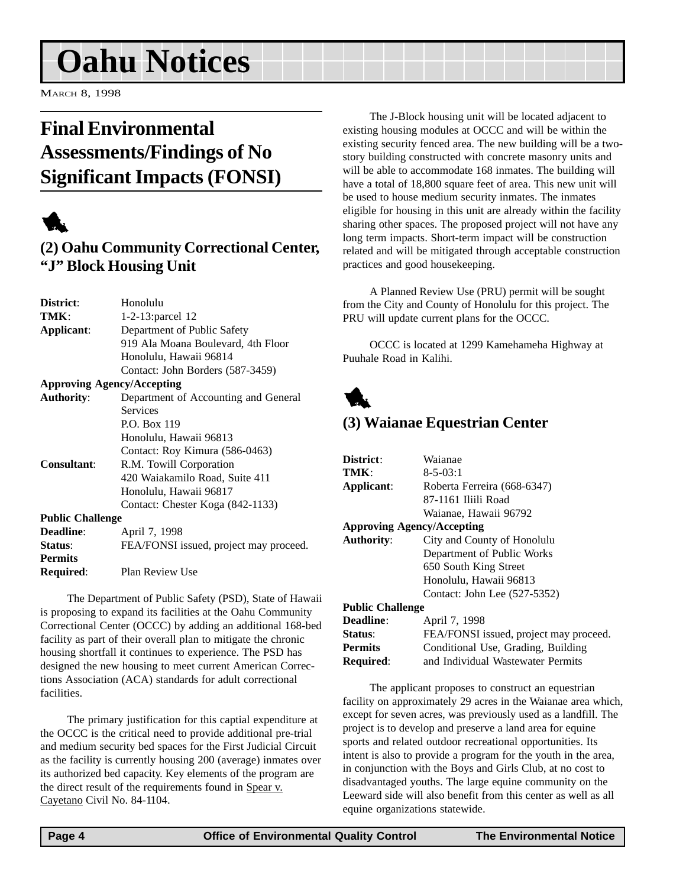## <span id="page-3-0"></span>**Oahu Notices**

MARCH 8, 1998

## **Final Environmental Assessments/Findings of No Significant Impacts (FONSI)**



## **(2) Oahu Community Correctional Center, "J" Block Housing Unit**

| District:                         | Honolulu                               |
|-----------------------------------|----------------------------------------|
| TMK:                              | 1-2-13: parcel 12                      |
| Applicant:                        | Department of Public Safety            |
|                                   | 919 Ala Moana Boulevard, 4th Floor     |
|                                   | Honolulu, Hawaii 96814                 |
|                                   | Contact: John Borders (587-3459)       |
| <b>Approving Agency/Accepting</b> |                                        |
| <b>Authority:</b>                 | Department of Accounting and General   |
|                                   | <b>Services</b>                        |
|                                   | P.O. Box 119                           |
|                                   | Honolulu, Hawaii 96813                 |
|                                   | Contact: Roy Kimura (586-0463)         |
| <b>Consultant:</b>                | R.M. Towill Corporation                |
|                                   | 420 Waiakamilo Road, Suite 411         |
|                                   | Honolulu, Hawaii 96817                 |
|                                   | Contact: Chester Koga (842-1133)       |
| <b>Public Challenge</b>           |                                        |
| <b>Deadline:</b>                  | April 7, 1998                          |
| Status:                           | FEA/FONSI issued, project may proceed. |
| <b>Permits</b>                    |                                        |
| Required:                         | Plan Review Use                        |

The Department of Public Safety (PSD), State of Hawaii is proposing to expand its facilities at the Oahu Community Correctional Center (OCCC) by adding an additional 168-bed facility as part of their overall plan to mitigate the chronic housing shortfall it continues to experience. The PSD has designed the new housing to meet current American Corrections Association (ACA) standards for adult correctional facilities.

The primary justification for this captial expenditure at the OCCC is the critical need to provide additional pre-trial and medium security bed spaces for the First Judicial Circuit as the facility is currently housing 200 (average) inmates over its authorized bed capacity. Key elements of the program are the direct result of the requirements found in Spear v. Cayetano Civil No. 84-1104.

The J-Block housing unit will be located adjacent to existing housing modules at OCCC and will be within the existing security fenced area. The new building will be a twostory building constructed with concrete masonry units and will be able to accommodate 168 inmates. The building will have a total of 18,800 square feet of area. This new unit will be used to house medium security inmates. The inmates eligible for housing in this unit are already within the facility sharing other spaces. The proposed project will not have any long term impacts. Short-term impact will be construction related and will be mitigated through acceptable construction practices and good housekeeping.

A Planned Review Use (PRU) permit will be sought from the City and County of Honolulu for this project. The PRU will update current plans for the OCCC.

OCCC is located at 1299 Kamehameha Highway at Puuhale Road in Kalihi.



## **(3) Waianae Equestrian Center**

| District:               | Waianae                                |
|-------------------------|----------------------------------------|
| TMK:                    | $8 - 5 - 03:1$                         |
| Applicant:              | Roberta Ferreira (668-6347)            |
|                         | 87-1161 Iliili Road                    |
|                         | Waianae, Hawaii 96792                  |
|                         | <b>Approving Agency/Accepting</b>      |
| <b>Authority:</b>       | City and County of Honolulu            |
|                         | Department of Public Works             |
|                         | 650 South King Street                  |
|                         | Honolulu, Hawaii 96813                 |
|                         | Contact: John Lee (527-5352)           |
| <b>Public Challenge</b> |                                        |
| <b>Deadline:</b>        | April 7, 1998                          |
| Status:                 | FEA/FONSI issued, project may proceed. |
| <b>Permits</b>          | Conditional Use, Grading, Building     |
| <b>Required:</b>        | and Individual Wastewater Permits      |

The applicant proposes to construct an equestrian facility on approximately 29 acres in the Waianae area which, except for seven acres, was previously used as a landfill. The project is to develop and preserve a land area for equine sports and related outdoor recreational opportunities. Its intent is also to provide a program for the youth in the area, in conjunction with the Boys and Girls Club, at no cost to disadvantaged youths. The large equine community on the Leeward side will also benefit from this center as well as all equine organizations statewide.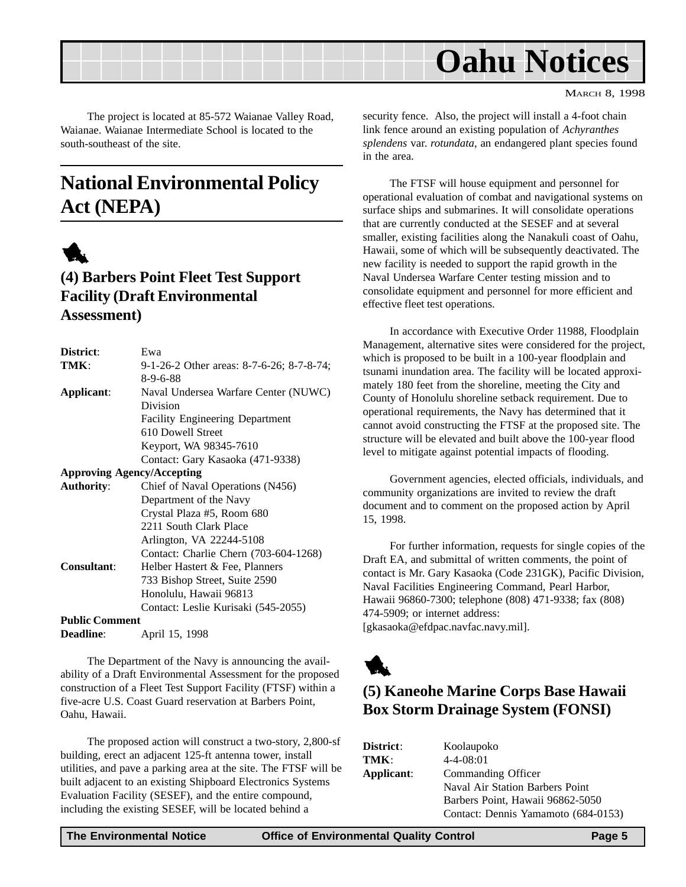<span id="page-4-0"></span>

The project is located at 85-572 Waianae Valley Road, Waianae. Waianae Intermediate School is located to the south-southeast of the site.

## **National Environmental Policy Act (NEPA)**



## **(4) Barbers Point Fleet Test Support Facility (Draft Environmental Assessment)**

| District:             | Ewa                                       |
|-----------------------|-------------------------------------------|
| TMK:                  | 9-1-26-2 Other areas: 8-7-6-26; 8-7-8-74; |
|                       | $8 - 9 - 6 - 88$                          |
| Applicant:            | Naval Undersea Warfare Center (NUWC)      |
|                       | Division                                  |
|                       | <b>Facility Engineering Department</b>    |
|                       | 610 Dowell Street                         |
|                       | Keyport, WA 98345-7610                    |
|                       | Contact: Gary Kasaoka (471-9338)          |
|                       | <b>Approving Agency/Accepting</b>         |
| <b>Authority:</b>     | Chief of Naval Operations (N456)          |
|                       | Department of the Navy                    |
|                       | Crystal Plaza #5, Room 680                |
|                       | 2211 South Clark Place                    |
|                       | Arlington, VA 22244-5108                  |
|                       | Contact: Charlie Chern (703-604-1268)     |
| <b>Consultant:</b>    | Helber Hastert & Fee, Planners            |
|                       | 733 Bishop Street, Suite 2590             |
|                       | Honolulu, Hawaii 96813                    |
|                       | Contact: Leslie Kurisaki (545-2055)       |
| <b>Public Comment</b> |                                           |
| <b>Deadline:</b>      | April 15, 1998                            |
|                       |                                           |

The Department of the Navy is announcing the availability of a Draft Environmental Assessment for the proposed construction of a Fleet Test Support Facility (FTSF) within a five-acre U.S. Coast Guard reservation at Barbers Point, Oahu, Hawaii.

The proposed action will construct a two-story, 2,800-sf building, erect an adjacent 125-ft antenna tower, install utilities, and pave a parking area at the site. The FTSF will be built adjacent to an existing Shipboard Electronics Systems Evaluation Facility (SESEF), and the entire compound, including the existing SESEF, will be located behind a

security fence. Also, the project will install a 4-foot chain link fence around an existing population of *Achyranthes splendens* var. *rotundata*, an endangered plant species found in the area.

The FTSF will house equipment and personnel for operational evaluation of combat and navigational systems on surface ships and submarines. It will consolidate operations that are currently conducted at the SESEF and at several smaller, existing facilities along the Nanakuli coast of Oahu, Hawaii, some of which will be subsequently deactivated. The new facility is needed to support the rapid growth in the Naval Undersea Warfare Center testing mission and to consolidate equipment and personnel for more efficient and effective fleet test operations.

In accordance with Executive Order 11988, Floodplain Management, alternative sites were considered for the project, which is proposed to be built in a 100-year floodplain and tsunami inundation area. The facility will be located approximately 180 feet from the shoreline, meeting the City and County of Honolulu shoreline setback requirement. Due to operational requirements, the Navy has determined that it cannot avoid constructing the FTSF at the proposed site. The structure will be elevated and built above the 100-year flood level to mitigate against potential impacts of flooding.

Government agencies, elected officials, individuals, and community organizations are invited to review the draft document and to comment on the proposed action by April 15, 1998.

For further information, requests for single copies of the Draft EA, and submittal of written comments, the point of contact is Mr. Gary Kasaoka (Code 231GK), Pacific Division, Naval Facilities Engineering Command, Pearl Harbor, Hawaii 96860-7300; telephone (808) 471-9338; fax (808) 474-5909; or internet address: [gkasaoka@efdpac.navfac.navy.mil].



## **(5) Kaneohe Marine Corps Base Hawaii Box Storm Drainage System (FONSI)**

| District:  | Koolaupoko                          |
|------------|-------------------------------------|
| TMK:       | $4 - 4 - 08:01$                     |
| Applicant: | Commanding Officer                  |
|            | Naval Air Station Barbers Point     |
|            | Barbers Point, Hawaii 96862-5050    |
|            | Contact: Dennis Yamamoto (684-0153) |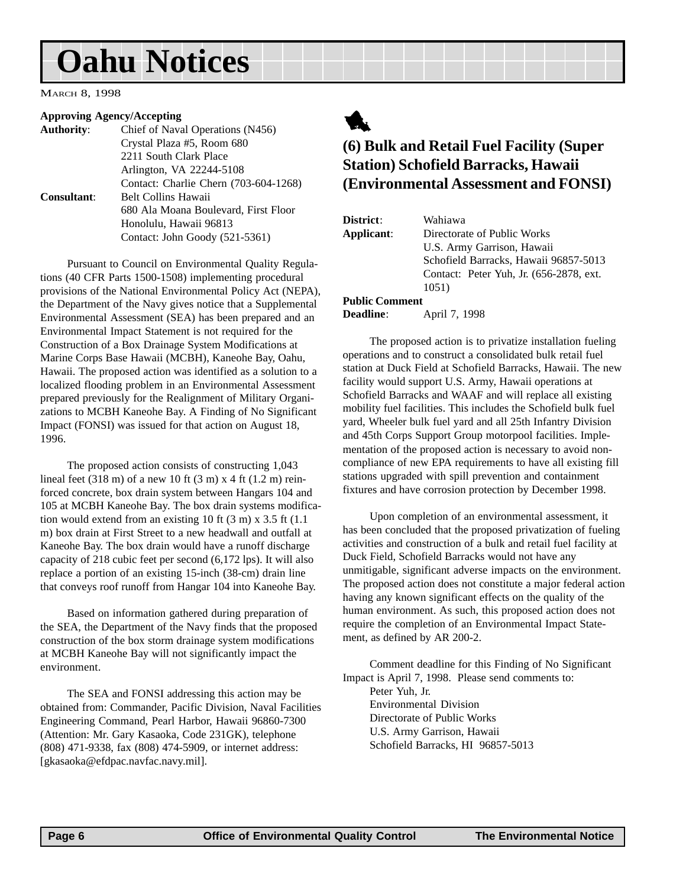## <span id="page-5-0"></span>**Oahu Notices**

MARCH 8, 1998

#### **Approving Agency/Accepting**

| <b>Authority:</b>  | Chief of Naval Operations (N456)      |
|--------------------|---------------------------------------|
|                    | Crystal Plaza #5, Room 680            |
|                    | 2211 South Clark Place                |
|                    | Arlington, VA 22244-5108              |
|                    | Contact: Charlie Chern (703-604-1268) |
| <b>Consultant:</b> | <b>Belt Collins Hawaii</b>            |
|                    | 680 Ala Moana Boulevard, First Floor  |
|                    | Honolulu, Hawaii 96813                |
|                    | Contact: John Goody (521-5361)        |
|                    |                                       |

Pursuant to Council on Environmental Quality Regulations (40 CFR Parts 1500-1508) implementing procedural provisions of the National Environmental Policy Act (NEPA), the Department of the Navy gives notice that a Supplemental Environmental Assessment (SEA) has been prepared and an Environmental Impact Statement is not required for the Construction of a Box Drainage System Modifications at Marine Corps Base Hawaii (MCBH), Kaneohe Bay, Oahu, Hawaii. The proposed action was identified as a solution to a localized flooding problem in an Environmental Assessment prepared previously for the Realignment of Military Organizations to MCBH Kaneohe Bay. A Finding of No Significant Impact (FONSI) was issued for that action on August 18, 1996.

The proposed action consists of constructing 1,043 lineal feet (318 m) of a new 10 ft (3 m) x 4 ft (1.2 m) reinforced concrete, box drain system between Hangars 104 and 105 at MCBH Kaneohe Bay. The box drain systems modification would extend from an existing 10 ft (3 m) x 3.5 ft (1.1 m) box drain at First Street to a new headwall and outfall at Kaneohe Bay. The box drain would have a runoff discharge capacity of 218 cubic feet per second (6,172 lps). It will also replace a portion of an existing 15-inch (38-cm) drain line that conveys roof runoff from Hangar 104 into Kaneohe Bay.

Based on information gathered during preparation of the SEA, the Department of the Navy finds that the proposed construction of the box storm drainage system modifications at MCBH Kaneohe Bay will not significantly impact the environment.

The SEA and FONSI addressing this action may be obtained from: Commander, Pacific Division, Naval Facilities Engineering Command, Pearl Harbor, Hawaii 96860-7300 (Attention: Mr. Gary Kasaoka, Code 231GK), telephone (808) 471-9338, fax (808) 474-5909, or internet address: [gkasaoka@efdpac.navfac.navy.mil].



## **(6) Bulk and Retail Fuel Facility (Super Station) Schofield Barracks, Hawaii (Environmental Assessment and FONSI)**

| District:             | Wahiawa                                  |
|-----------------------|------------------------------------------|
| Applicant:            | Directorate of Public Works              |
|                       | U.S. Army Garrison, Hawaii               |
|                       | Schofield Barracks, Hawaii 96857-5013    |
|                       | Contact: Peter Yuh, Jr. (656-2878, ext.) |
|                       | 1051)                                    |
| <b>Public Comment</b> |                                          |
| <b>Deadline:</b>      | April 7, 1998                            |

The proposed action is to privatize installation fueling operations and to construct a consolidated bulk retail fuel station at Duck Field at Schofield Barracks, Hawaii. The new facility would support U.S. Army, Hawaii operations at Schofield Barracks and WAAF and will replace all existing mobility fuel facilities. This includes the Schofield bulk fuel yard, Wheeler bulk fuel yard and all 25th Infantry Division and 45th Corps Support Group motorpool facilities. Implementation of the proposed action is necessary to avoid noncompliance of new EPA requirements to have all existing fill stations upgraded with spill prevention and containment fixtures and have corrosion protection by December 1998.

Upon completion of an environmental assessment, it has been concluded that the proposed privatization of fueling activities and construction of a bulk and retail fuel facility at Duck Field, Schofield Barracks would not have any unmitigable, significant adverse impacts on the environment. The proposed action does not constitute a major federal action having any known significant effects on the quality of the human environment. As such, this proposed action does not require the completion of an Environmental Impact Statement, as defined by AR 200-2.

Comment deadline for this Finding of No Significant Impact is April 7, 1998. Please send comments to: Peter Yuh, Jr. Environmental Division Directorate of Public Works U.S. Army Garrison, Hawaii Schofield Barracks, HI 96857-5013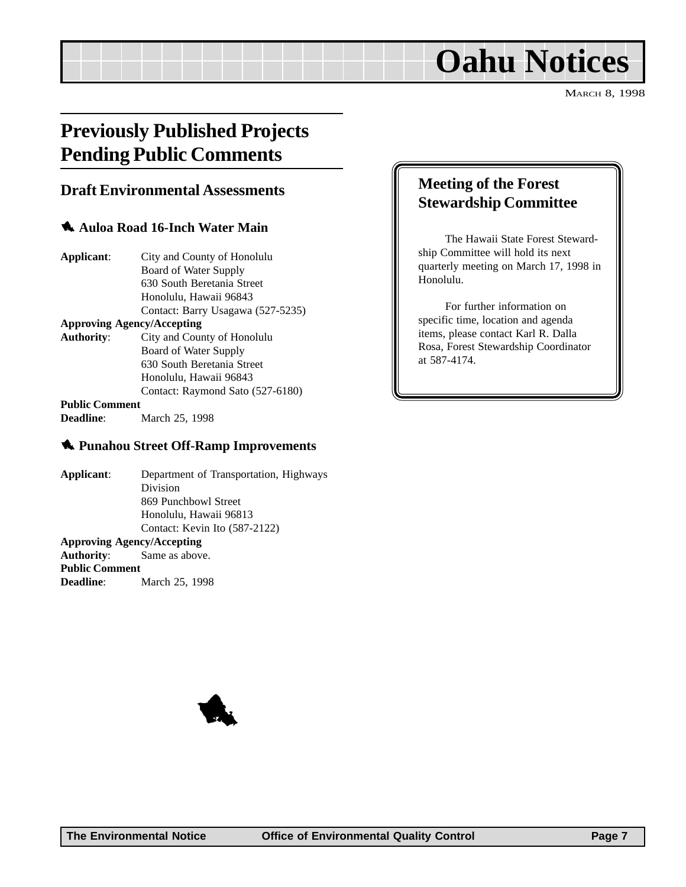## **Oahu Notices**

MARCH 8, 1998

## <span id="page-6-0"></span>**Previously Published Projects Pending Public Comments**

### **Draft Environmental Assessments**

#### 1 **Auloa Road 16-Inch Water Main**

| Applicant:                        | City and County of Honolulu       |
|-----------------------------------|-----------------------------------|
|                                   | Board of Water Supply             |
|                                   | 630 South Beretania Street        |
|                                   | Honolulu, Hawaii 96843            |
|                                   | Contact: Barry Usagawa (527-5235) |
| <b>Approving Agency/Accepting</b> |                                   |
| <b>Authority:</b>                 | City and County of Honolulu       |
|                                   | Board of Water Supply             |
|                                   | 630 South Beretania Street        |
|                                   | Honolulu, Hawaii 96843            |
|                                   | Contact: Raymond Sato (527-6180)  |
| <b>Public Comment</b>             |                                   |

**Deadline**: March 25, 1998

#### 1 **Punahou Street Off-Ramp Improvements**

**Applicant**: Department of Transportation, Highways Division 869 Punchbowl Street Honolulu, Hawaii 96813 Contact: Kevin Ito (587-2122) **Approving Agency/Accepting Authority**: Same as above. **Public Comment Deadline**: March 25, 1998

## **Meeting of the Forest Stewardship Committee**

The Hawaii State Forest Stewardship Committee will hold its next quarterly meeting on March 17, 1998 in Honolulu.

For further information on specific time, location and agenda items, please contact Karl R. Dalla Rosa, Forest Stewardship Coordinator at 587-4174.

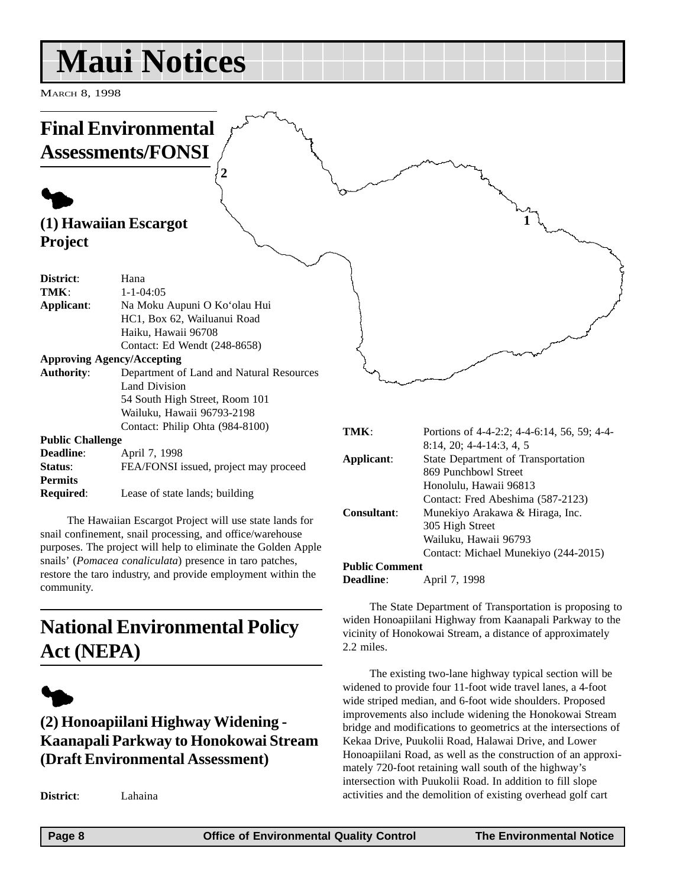## <span id="page-7-0"></span>**Maui Notices**

MARCH 8, 1998

### **Final Environmental Assessments/FONSI**  $\blacklozenge$ **(1) Hawaiian Escargot Project District**: Hana **TMK**:  $1-1-04:05$ **Applicant**: Na Moku Aupuni O Ko'olau Hui HC1, Box 62, Wailuanui Road Haiku, Hawaii 96708 Contact: Ed Wendt (248-8658) **Approving Agency/Accepting Authority**: Department of Land and Natural Resources Land Division 54 South High Street, Room 101 Wailuku, Hawaii 96793-2198 Contact: Philip Ohta (984-8100) **Public Challenge TMK**: Portions of 4-4-2:2; 4-4-6:14, 56, 59; 4-4- **1 2**

| T AMIL CHAIRTIEL |                                       |
|------------------|---------------------------------------|
| <b>Deadline:</b> | April 7, 1998                         |
| Status:          | FEA/FONSI issued, project may proceed |
| <b>Permits</b>   |                                       |
| <b>Required:</b> | Lease of state lands; building        |

The Hawaiian Escargot Project will use state lands for snail confinement, snail processing, and office/warehouse purposes. The project will help to eliminate the Golden Apple snails' (*Pomacea conaliculata*) presence in taro patches, restore the taro industry, and provide employment within the community.

## **National Environmental Policy Act (NEPA)**



## **(2) Honoapiilani Highway Widening - Kaanapali Parkway to Honokowai Stream (Draft Environmental Assessment)**

**District**: Lahaina

| TMK:           | Portions of 4-4-2:2; 4-4-6:14, 56, 59; 4-4- |
|----------------|---------------------------------------------|
|                | $8:14$ , 20; 4-4-14:3, 4, 5                 |
| Applicant:     | State Department of Transportation          |
|                | 869 Punchbowl Street                        |
|                | Honolulu, Hawaii 96813                      |
|                | Contact: Fred Abeshima (587-2123)           |
| Consultant:    | Munekiyo Arakawa & Hiraga, Inc.             |
|                | 305 High Street                             |
|                | Wailuku, Hawaii 96793                       |
|                | Contact: Michael Munekiyo (244-2015)        |
| Public Comment |                                             |

#### **Public Comment**

**Deadline**: **April 7, 1998** 

The State Department of Transportation is proposing to widen Honoapiilani Highway from Kaanapali Parkway to the vicinity of Honokowai Stream, a distance of approximately 2.2 miles.

The existing two-lane highway typical section will be widened to provide four 11-foot wide travel lanes, a 4-foot wide striped median, and 6-foot wide shoulders. Proposed improvements also include widening the Honokowai Stream bridge and modifications to geometrics at the intersections of Kekaa Drive, Puukolii Road, Halawai Drive, and Lower Honoapiilani Road, as well as the construction of an approximately 720-foot retaining wall south of the highway's intersection with Puukolii Road. In addition to fill slope activities and the demolition of existing overhead golf cart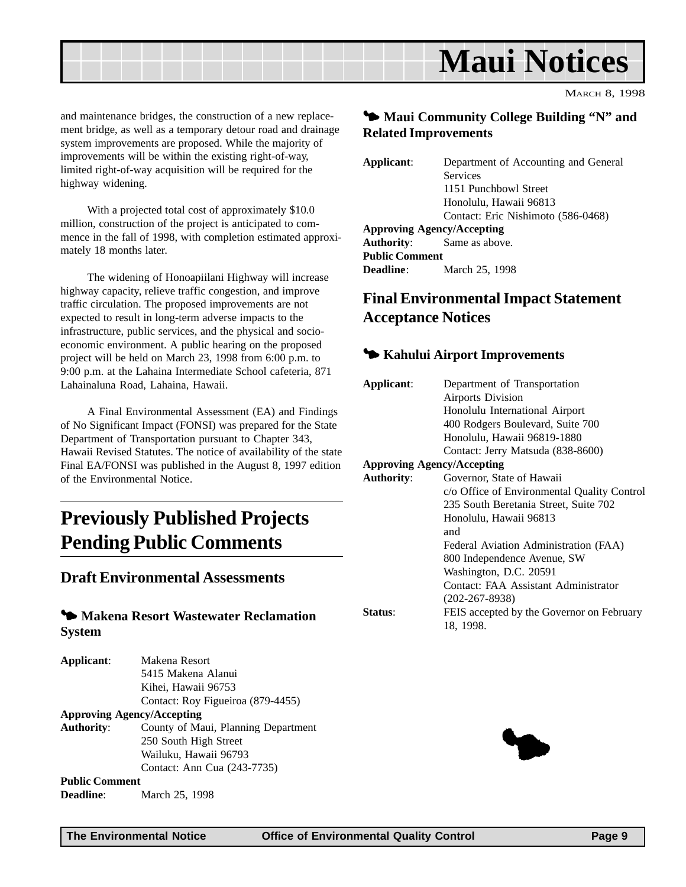<span id="page-8-0"></span>

and maintenance bridges, the construction of a new replacement bridge, as well as a temporary detour road and drainage system improvements are proposed. While the majority of improvements will be within the existing right-of-way, limited right-of-way acquisition will be required for the highway widening.

With a projected total cost of approximately \$10.0 million, construction of the project is anticipated to commence in the fall of 1998, with completion estimated approximately 18 months later.

The widening of Honoapiilani Highway will increase highway capacity, relieve traffic congestion, and improve traffic circulation. The proposed improvements are not expected to result in long-term adverse impacts to the infrastructure, public services, and the physical and socioeconomic environment. A public hearing on the proposed project will be held on March 23, 1998 from 6:00 p.m. to 9:00 p.m. at the Lahaina Intermediate School cafeteria, 871 Lahainaluna Road, Lahaina, Hawaii.

A Final Environmental Assessment (EA) and Findings of No Significant Impact (FONSI) was prepared for the State Department of Transportation pursuant to Chapter 343, Hawaii Revised Statutes. The notice of availability of the state Final EA/FONSI was published in the August 8, 1997 edition of the Environmental Notice.

## **Previously Published Projects Pending Public Comments**

### **Draft Environmental Assessments**

#### 3 **Makena Resort Wastewater Reclamation System**

| Applicant:            | Makena Resort                       |
|-----------------------|-------------------------------------|
|                       | 5415 Makena Alanui                  |
|                       | Kihei, Hawaii 96753                 |
|                       | Contact: Roy Figueiroa (879-4455)   |
|                       | <b>Approving Agency/Accepting</b>   |
| <b>Authority:</b>     | County of Maui, Planning Department |
|                       | 250 South High Street               |
|                       | Wailuku, Hawaii 96793               |
|                       | Contact: Ann Cua (243-7735)         |
| <b>Public Comment</b> |                                     |
| <b>Deadline:</b>      | March 25, 1998                      |

### $\blacktriangleright$  **Maui Community College Building "N" and Related Improvements**

| Applicant:            | Department of Accounting and General |
|-----------------------|--------------------------------------|
|                       | <b>Services</b>                      |
|                       | 1151 Punchbowl Street                |
|                       | Honolulu, Hawaii 96813               |
|                       | Contact: Eric Nishimoto (586-0468)   |
|                       | <b>Approving Agency/Accepting</b>    |
|                       | <b>Authority:</b> Same as above.     |
| <b>Public Comment</b> |                                      |
| <b>Deadline</b> :     | March 25, 1998                       |

## **Final Environmental Impact Statement Acceptance Notices**

### 3 **Kahului Airport Improvements**

| Applicant:        | Department of Transportation                |
|-------------------|---------------------------------------------|
|                   | <b>Airports Division</b>                    |
|                   | Honolulu International Airport              |
|                   | 400 Rodgers Boulevard, Suite 700            |
|                   | Honolulu, Hawaii 96819-1880                 |
|                   | Contact: Jerry Matsuda (838-8600)           |
|                   | <b>Approving Agency/Accepting</b>           |
| <b>Authority:</b> | Governor, State of Hawaii                   |
|                   | c/o Office of Environmental Quality Control |
|                   | 235 South Beretania Street, Suite 702       |
|                   | Honolulu, Hawaii 96813                      |
|                   | and                                         |
|                   | Federal Aviation Administration (FAA)       |
|                   | 800 Independence Avenue, SW                 |
|                   | Washington, D.C. 20591                      |
|                   | Contact: FAA Assistant Administrator        |
|                   | $(202 - 267 - 8938)$                        |
| Status:           | FEIS accepted by the Governor on February   |
|                   | 18, 1998.                                   |
|                   |                                             |
|                   |                                             |

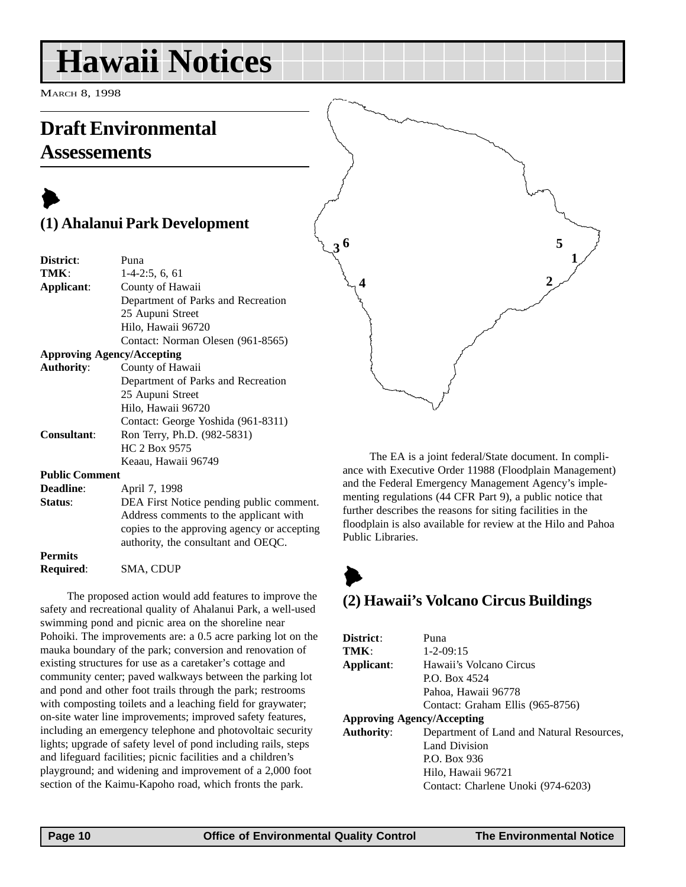## <span id="page-9-0"></span>**Hawaii Notices**

MARCH 8, 1998

## **Draft Environmental Assessements**

## $\blacktriangleright$ **(1) Ahalanui Park Development**

| Puna                                        |
|---------------------------------------------|
| $1-4-2:5, 6, 61$                            |
| County of Hawaii                            |
| Department of Parks and Recreation          |
| 25 Aupuni Street                            |
| Hilo, Hawaii 96720                          |
| Contact: Norman Olesen (961-8565)           |
| <b>Approving Agency/Accepting</b>           |
| County of Hawaii                            |
| Department of Parks and Recreation          |
| 25 Aupuni Street                            |
| Hilo, Hawaii 96720                          |
| Contact: George Yoshida (961-8311)          |
| Ron Terry, Ph.D. (982-5831)                 |
| HC 2 Box 9575                               |
| Keaau, Hawaii 96749                         |
| <b>Public Comment</b>                       |
| April 7, 1998                               |
| DEA First Notice pending public comment.    |
| Address comments to the applicant with      |
| copies to the approving agency or accepting |
| authority, the consultant and OEQC.         |
|                                             |
|                                             |

The proposed action would add features to improve the safety and recreational quality of Ahalanui Park, a well-used swimming pond and picnic area on the shoreline near Pohoiki. The improvements are: a 0.5 acre parking lot on the mauka boundary of the park; conversion and renovation of existing structures for use as a caretaker's cottage and community center; paved walkways between the parking lot and pond and other foot trails through the park; restrooms with composting toilets and a leaching field for graywater; on-site water line improvements; improved safety features, including an emergency telephone and photovoltaic security lights; upgrade of safety level of pond including rails, steps and lifeguard facilities; picnic facilities and a children's playground; and widening and improvement of a 2,000 foot section of the Kaimu-Kapoho road, which fronts the park.

The EA is a joint federal/State document. In compliance with Executive Order 11988 (Floodplain Management) and the Federal Emergency Management Agency's implementing regulations (44 CFR Part 9), a public notice that further describes the reasons for siting facilities in the floodplain is also available for review at the Hilo and Pahoa Public Libraries.

 $3^6$  5

**1**

**2**

**4**

## $\blacktriangleright$ **(2) Hawaii's Volcano Circus Buildings**

| District:                         | Puna                                      |
|-----------------------------------|-------------------------------------------|
| TMK:                              | $1 - 2 - 09:15$                           |
| Applicant:                        | Hawaii's Volcano Circus                   |
|                                   | P.O. Box 4524                             |
|                                   | Pahoa, Hawaii 96778                       |
|                                   | Contact: Graham Ellis (965-8756)          |
| <b>Approving Agency/Accepting</b> |                                           |
| <b>Authority:</b>                 | Department of Land and Natural Resources, |
|                                   | Land Division                             |
|                                   | P.O. Box 936                              |
|                                   | Hilo, Hawaii 96721                        |
|                                   | Contact: Charlene Unoki (974-6203)        |

**Required**: SMA, CDUP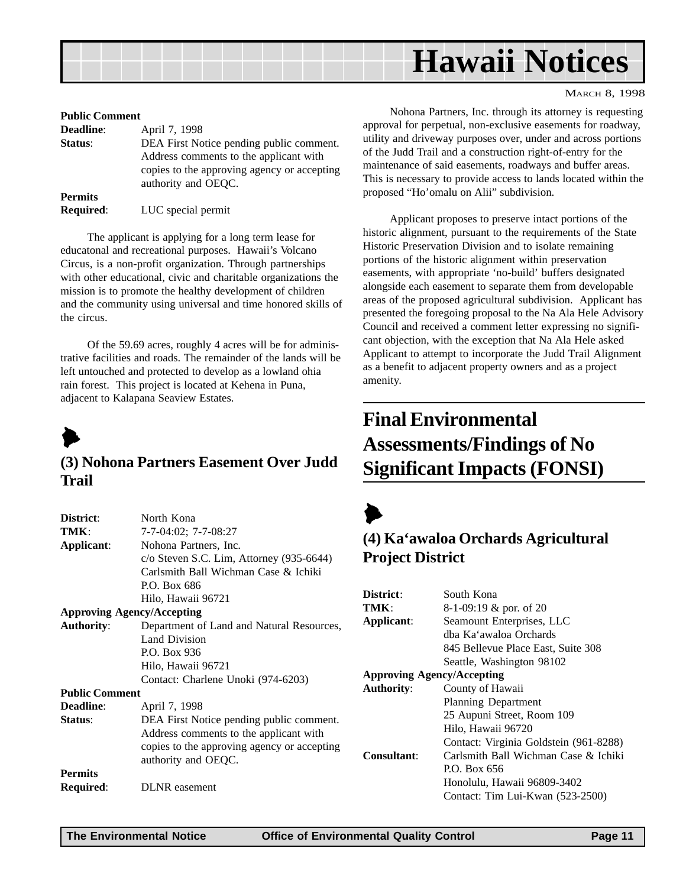<span id="page-10-0"></span>

#### **Public Comment**

| <b>Deadline:</b> | April 7, 1998                               |
|------------------|---------------------------------------------|
| Status:          | DEA First Notice pending public comment.    |
|                  | Address comments to the applicant with      |
|                  | copies to the approving agency or accepting |
|                  | authority and OEOC.                         |
| <b>Permits</b>   |                                             |
| <b>Required:</b> | LUC special permit                          |

The applicant is applying for a long term lease for educatonal and recreational purposes. Hawaii's Volcano Circus, is a non-profit organization. Through partnerships with other educational, civic and charitable organizations the mission is to promote the healthy development of children and the community using universal and time honored skills of the circus.

Of the 59.69 acres, roughly 4 acres will be for administrative facilities and roads. The remainder of the lands will be left untouched and protected to develop as a lowland ohia rain forest. This project is located at Kehena in Puna, adjacent to Kalapana Seaview Estates.



#### **(3) Nohona Partners Easement Over Judd Trail**

| District:             | North Kona                                  |  |  |
|-----------------------|---------------------------------------------|--|--|
| TMK:                  | $7-7-04:02$ ; $7-7-08:27$                   |  |  |
| Applicant:            | Nohona Partners, Inc.                       |  |  |
|                       | $c$ /o Steven S.C. Lim, Attorney (935-6644) |  |  |
|                       | Carlsmith Ball Wichman Case & Ichiki        |  |  |
|                       | P.O. Box 686                                |  |  |
|                       | Hilo, Hawaii 96721                          |  |  |
|                       | <b>Approving Agency/Accepting</b>           |  |  |
| <b>Authority:</b>     | Department of Land and Natural Resources,   |  |  |
|                       | <b>Land Division</b>                        |  |  |
|                       | P.O. Box 936                                |  |  |
|                       | Hilo, Hawaii 96721                          |  |  |
|                       | Contact: Charlene Unoki (974-6203)          |  |  |
| <b>Public Comment</b> |                                             |  |  |
| <b>Deadline:</b>      | April 7, 1998                               |  |  |
| Status:               | DEA First Notice pending public comment.    |  |  |
|                       | Address comments to the applicant with      |  |  |
|                       | copies to the approving agency or accepting |  |  |
|                       | authority and OEQC.                         |  |  |
| <b>Permits</b>        |                                             |  |  |
| Required:             | <b>DLNR</b> easement                        |  |  |
|                       |                                             |  |  |

MARCH 8, 1998

Nohona Partners, Inc. through its attorney is requesting approval for perpetual, non-exclusive easements for roadway, utility and driveway purposes over, under and across portions of the Judd Trail and a construction right-of-entry for the maintenance of said easements, roadways and buffer areas. This is necessary to provide access to lands located within the proposed "Ho'omalu on Alii" subdivision.

Applicant proposes to preserve intact portions of the historic alignment, pursuant to the requirements of the State Historic Preservation Division and to isolate remaining portions of the historic alignment within preservation easements, with appropriate 'no-build' buffers designated alongside each easement to separate them from developable areas of the proposed agricultural subdivision. Applicant has presented the foregoing proposal to the Na Ala Hele Advisory Council and received a comment letter expressing no significant objection, with the exception that Na Ala Hele asked Applicant to attempt to incorporate the Judd Trail Alignment as a benefit to adjacent property owners and as a project amenity.

## **Final Environmental Assessments/Findings of No Significant Impacts (FONSI)**

## **(4) Ka'awaloa Orchards Agricultural Project District**

| District:                         | South Kona                             |  |  |  |
|-----------------------------------|----------------------------------------|--|--|--|
| TMK:                              | 8-1-09:19 & por. of 20                 |  |  |  |
| Applicant:                        | Seamount Enterprises, LLC              |  |  |  |
|                                   | dha Ka'awaloa Orchards                 |  |  |  |
|                                   | 845 Bellevue Place East, Suite 308     |  |  |  |
|                                   | Seattle, Washington 98102              |  |  |  |
| <b>Approving Agency/Accepting</b> |                                        |  |  |  |
| <b>Authority:</b>                 | County of Hawaii                       |  |  |  |
|                                   | <b>Planning Department</b>             |  |  |  |
|                                   | 25 Aupuni Street, Room 109             |  |  |  |
|                                   | Hilo, Hawaii 96720                     |  |  |  |
|                                   | Contact: Virginia Goldstein (961-8288) |  |  |  |
| Consultant:                       | Carlsmith Ball Wichman Case & Ichiki   |  |  |  |
|                                   | P.O. Box 656                           |  |  |  |
|                                   | Honolulu, Hawaii 96809-3402            |  |  |  |
|                                   | Contact: Tim Lui-Kwan (523-2500)       |  |  |  |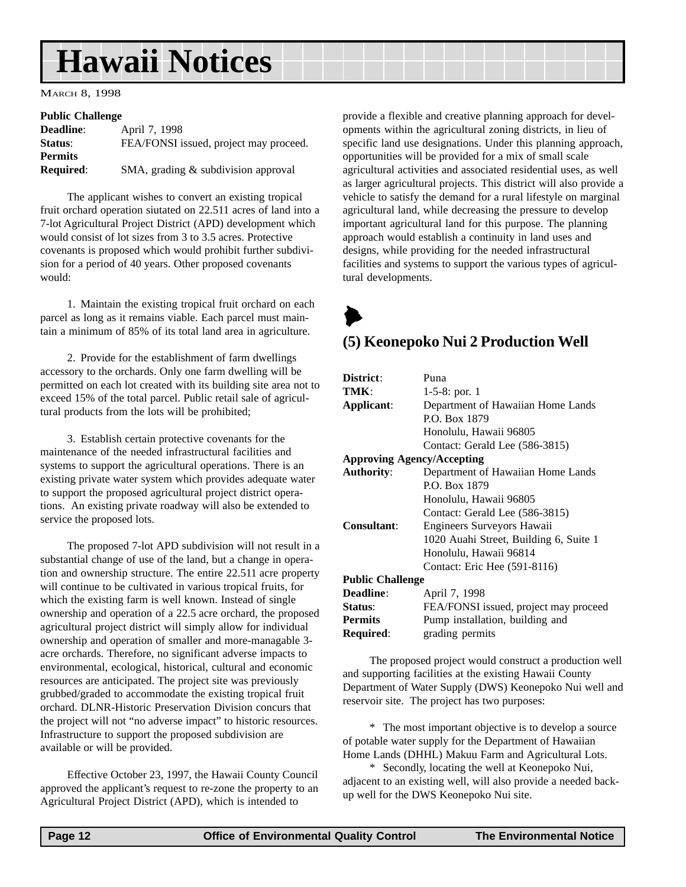## <span id="page-11-0"></span>**Hawaii Notices**

MARCH 8, 1998

#### **Public Challenge**

| <b>Deadline:</b> | April 7, 1998                          |
|------------------|----------------------------------------|
| Status:          | FEA/FONSI issued, project may proceed. |
| <b>Permits</b>   |                                        |
| <b>Required:</b> | SMA, grading $&$ subdivision approval  |
|                  |                                        |

The applicant wishes to convert an existing tropical fruit orchard operation siutated on 22.511 acres of land into a 7-lot Agricultural Project District (APD) development which would consist of lot sizes from 3 to 3.5 acres. Protective covenants is proposed which would prohibit further subdivision for a period of 40 years. Other proposed covenants would:

1. Maintain the existing tropical fruit orchard on each parcel as long as it remains viable. Each parcel must maintain a minimum of 85% of its total land area in agriculture.

2. Provide for the establishment of farm dwellings accessory to the orchards. Only one farm dwelling will be permitted on each lot created with its building site area not to exceed 15% of the total parcel. Public retail sale of agricultural products from the lots will be prohibited;

3. Establish certain protective covenants for the maintenance of the needed infrastructural facilities and systems to support the agricultural operations. There is an existing private water system which provides adequate water to support the proposed agricultural project district operations. An existing private roadway will also be extended to service the proposed lots.

The proposed 7-lot APD subdivision will not result in a substantial change of use of the land, but a change in operation and ownership structure. The entire 22.511 acre property will continue to be cultivated in various tropical fruits, for which the existing farm is well known. Instead of single ownership and operation of a 22.5 acre orchard, the proposed agricultural project district will simply allow for individual ownership and operation of smaller and more-managable 3 acre orchards. Therefore, no significant adverse impacts to environmental, ecological, historical, cultural and economic resources are anticipated. The project site was previously grubbed/graded to accommodate the existing tropical fruit orchard. DLNR-Historic Preservation Division concurs that the project will not "no adverse impact" to historic resources. Infrastructure to support the proposed subdivision are available or will be provided.

Effective October 23, 1997, the Hawaii County Council approved the applicant's request to re-zone the property to an Agricultural Project District (APD), which is intended to

provide a flexible and creative planning approach for developments within the agricultural zoning districts, in lieu of specific land use designations. Under this planning approach, opportunities will be provided for a mix of small scale agricultural activities and associated residential uses, as well as larger agricultural projects. This district will also provide a vehicle to satisfy the demand for a rural lifestyle on marginal agricultural land, while decreasing the pressure to develop important agricultural land for this purpose. The planning approach would establish a continuity in land uses and designs, while providing for the needed infrastructural facilities and systems to support the various types of agricultural developments.

 $\blacktriangleright$ 

### **(5) Keonepoko Nui 2 Production Well**

| District:                         | Puna                                   |  |  |
|-----------------------------------|----------------------------------------|--|--|
| TMK:                              | $1-5-8$ : por. 1                       |  |  |
| Applicant:                        | Department of Hawaiian Home Lands      |  |  |
|                                   | P.O. Box 1879                          |  |  |
|                                   | Honolulu, Hawaii 96805                 |  |  |
|                                   | Contact: Gerald Lee (586-3815)         |  |  |
| <b>Approving Agency/Accepting</b> |                                        |  |  |
| <b>Authority:</b>                 | Department of Hawaiian Home Lands      |  |  |
|                                   | P.O. Box 1879                          |  |  |
|                                   | Honolulu, Hawaii 96805                 |  |  |
|                                   | Contact: Gerald Lee (586-3815)         |  |  |
| Consultant:                       | Engineers Surveyors Hawaii             |  |  |
|                                   | 1020 Auahi Street, Building 6, Suite 1 |  |  |
|                                   | Honolulu, Hawaii 96814                 |  |  |
|                                   | Contact: Eric Hee (591-8116)           |  |  |
| <b>Public Challenge</b>           |                                        |  |  |
| <b>Deadline:</b>                  | April 7, 1998                          |  |  |
| Status:                           | FEA/FONSI issued, project may proceed  |  |  |
| <b>Permits</b>                    | Pump installation, building and        |  |  |
| <b>Required:</b>                  | grading permits                        |  |  |
|                                   |                                        |  |  |

The proposed project would construct a production well and supporting facilities at the existing Hawaii County Department of Water Supply (DWS) Keonepoko Nui well and reservoir site. The project has two purposes:

\* The most important objective is to develop a source of potable water supply for the Department of Hawaiian Home Lands (DHHL) Makuu Farm and Agricultural Lots.

\* Secondly, locating the well at Keonepoko Nui, adjacent to an existing well, will also provide a needed backup well for the DWS Keonepoko Nui site.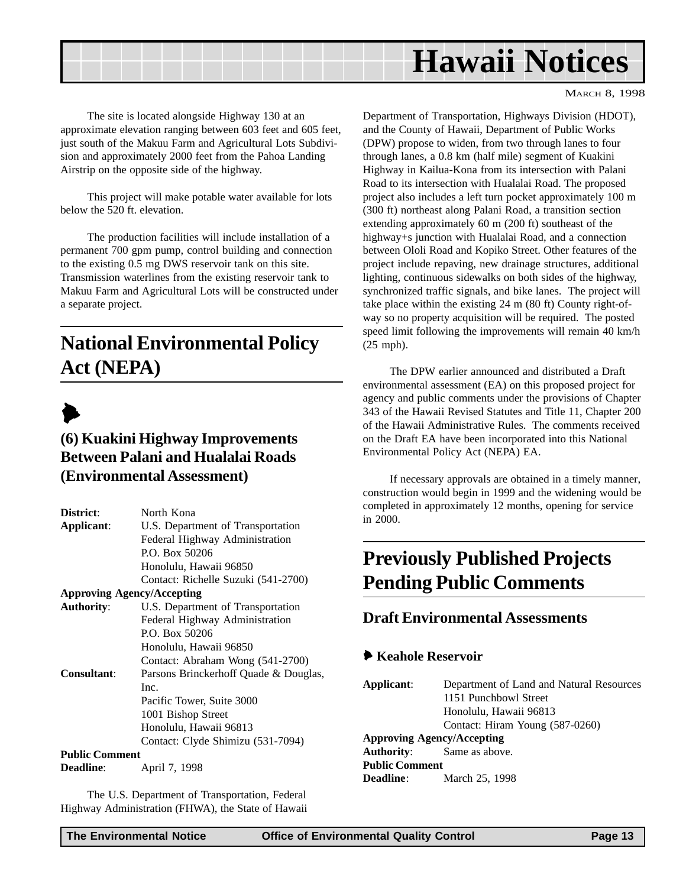<span id="page-12-0"></span>

The site is located alongside Highway 130 at an approximate elevation ranging between 603 feet and 605 feet, just south of the Makuu Farm and Agricultural Lots Subdivision and approximately 2000 feet from the Pahoa Landing Airstrip on the opposite side of the highway.

This project will make potable water available for lots below the 520 ft. elevation.

The production facilities will include installation of a permanent 700 gpm pump, control building and connection to the existing 0.5 mg DWS reservoir tank on this site. Transmission waterlines from the existing reservoir tank to Makuu Farm and Agricultural Lots will be constructed under a separate project.

## **National Environmental Policy Act (NEPA)**

## $\blacktriangleright$

## **(6) Kuakini Highway Improvements Between Palani and Hualalai Roads (Environmental Assessment)**

| District:                                              | North Kona                            |  |  |  |
|--------------------------------------------------------|---------------------------------------|--|--|--|
| Applicant:                                             | U.S. Department of Transportation     |  |  |  |
|                                                        | Federal Highway Administration        |  |  |  |
|                                                        | P.O. Box 50206                        |  |  |  |
|                                                        | Honolulu, Hawaii 96850                |  |  |  |
|                                                        | Contact: Richelle Suzuki (541-2700)   |  |  |  |
| <b>Approving Agency/Accepting</b>                      |                                       |  |  |  |
| U.S. Department of Transportation<br><b>Authority:</b> |                                       |  |  |  |
|                                                        | Federal Highway Administration        |  |  |  |
|                                                        | P.O. Box 50206                        |  |  |  |
|                                                        | Honolulu, Hawaii 96850                |  |  |  |
|                                                        | Contact: Abraham Wong (541-2700)      |  |  |  |
| Consultant:                                            | Parsons Brinckerhoff Quade & Douglas, |  |  |  |
|                                                        | Inc.                                  |  |  |  |
|                                                        | Pacific Tower, Suite 3000             |  |  |  |
|                                                        | 1001 Bishop Street                    |  |  |  |
|                                                        | Honolulu, Hawaii 96813                |  |  |  |
|                                                        | Contact: Clyde Shimizu (531-7094)     |  |  |  |
| <b>Public Comment</b>                                  |                                       |  |  |  |

**Deadline**: **April 7, 1998** 

The U.S. Department of Transportation, Federal Highway Administration (FHWA), the State of Hawaii Department of Transportation, Highways Division (HDOT), and the County of Hawaii, Department of Public Works (DPW) propose to widen, from two through lanes to four through lanes, a 0.8 km (half mile) segment of Kuakini Highway in Kailua-Kona from its intersection with Palani Road to its intersection with Hualalai Road. The proposed project also includes a left turn pocket approximately 100 m (300 ft) northeast along Palani Road, a transition section extending approximately 60 m (200 ft) southeast of the highway+s junction with Hualalai Road, and a connection between Ololi Road and Kopiko Street. Other features of the project include repaving, new drainage structures, additional lighting, continuous sidewalks on both sides of the highway, synchronized traffic signals, and bike lanes. The project will take place within the existing 24 m (80 ft) County right-ofway so no property acquisition will be required. The posted speed limit following the improvements will remain 40 km/h (25 mph).

The DPW earlier announced and distributed a Draft environmental assessment (EA) on this proposed project for agency and public comments under the provisions of Chapter 343 of the Hawaii Revised Statutes and Title 11, Chapter 200 of the Hawaii Administrative Rules. The comments received on the Draft EA have been incorporated into this National Environmental Policy Act (NEPA) EA.

If necessary approvals are obtained in a timely manner, construction would begin in 1999 and the widening would be completed in approximately 12 months, opening for service in 2000.

## **Previously Published Projects Pending Public Comments**

## **Draft Environmental Assessments**

#### 6 **Keahole Reservoir**

```
Applicant: Department of Land and Natural Resources
               1151 Punchbowl Street
               Honolulu, Hawaii 96813
               Contact: Hiram Young (587-0260)
Approving Agency/Accepting
Authority: Same as above.
Public Comment
Deadline: March 25, 1998
```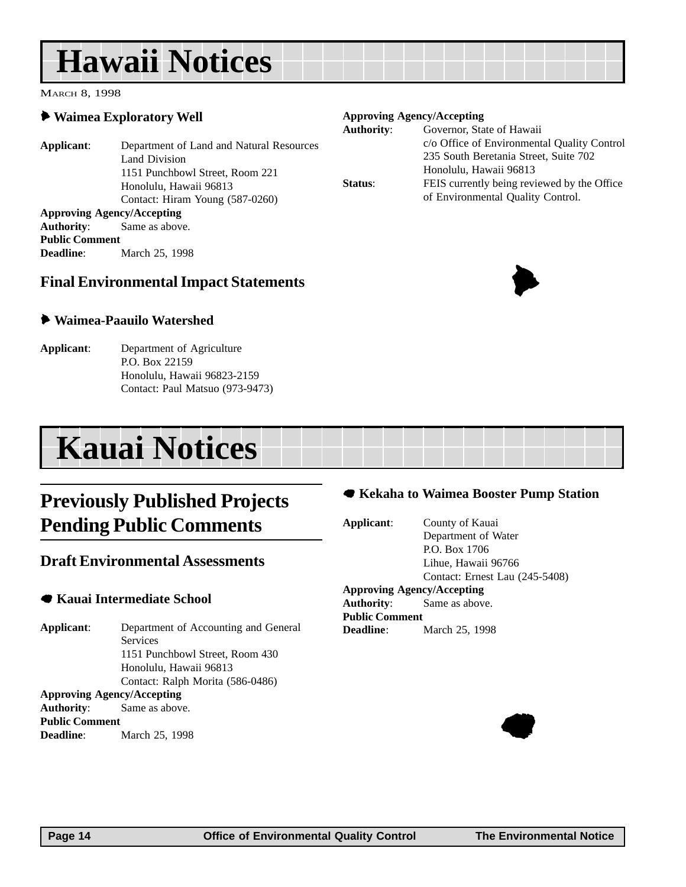## <span id="page-13-0"></span>**Hawaii Notices**

MARCH 8, 1998

### 6 **Waimea Exploratory Well**

**Applicant**: Department of Land and Natural Resources Land Division 1151 Punchbowl Street, Room 221 Honolulu, Hawaii 96813 Contact: Hiram Young (587-0260) **Approving Agency/Accepting Authority**: Same as above. **Public Comment Deadline**: March 25, 1998

### **Final Environmental Impact Statements**

#### 6 **Waimea-Paauilo Watershed**

**Applicant**: Department of Agriculture P.O. Box 22159 Honolulu, Hawaii 96823-2159 Contact: Paul Matsuo (973-9473)

## **Kauai Notices**

## **Previously Published Projects Pending Public Comments**

### **Draft Environmental Assessments**

#### 7 **Kauai Intermediate School**

**Applicant**: Department of Accounting and General **Services** 1151 Punchbowl Street, Room 430 Honolulu, Hawaii 96813 Contact: Ralph Morita (586-0486) **Approving Agency/Accepting Authority**: Same as above. **Public Comment Deadline**: March 25, 1998

| <b>Approving Agency/Accepting</b> |                                             |  |
|-----------------------------------|---------------------------------------------|--|
| <b>Authority:</b>                 | Governor, State of Hawaii                   |  |
|                                   | c/o Office of Environmental Quality Control |  |
|                                   | 235 South Beretania Street, Suite 702       |  |
|                                   | Honolulu, Hawaii 96813                      |  |
| Status:                           | FEIS currently being reviewed by the Office |  |
|                                   | of Environmental Quality Control.           |  |



**Applicant**: County of Kauai Department of Water P.O. Box 1706 Lihue, Hawaii 96766 Contact: Ernest Lau (245-5408) **Approving Agency/Accepting Authority**: Same as above. **Public Comment Deadline**: March 25, 1998



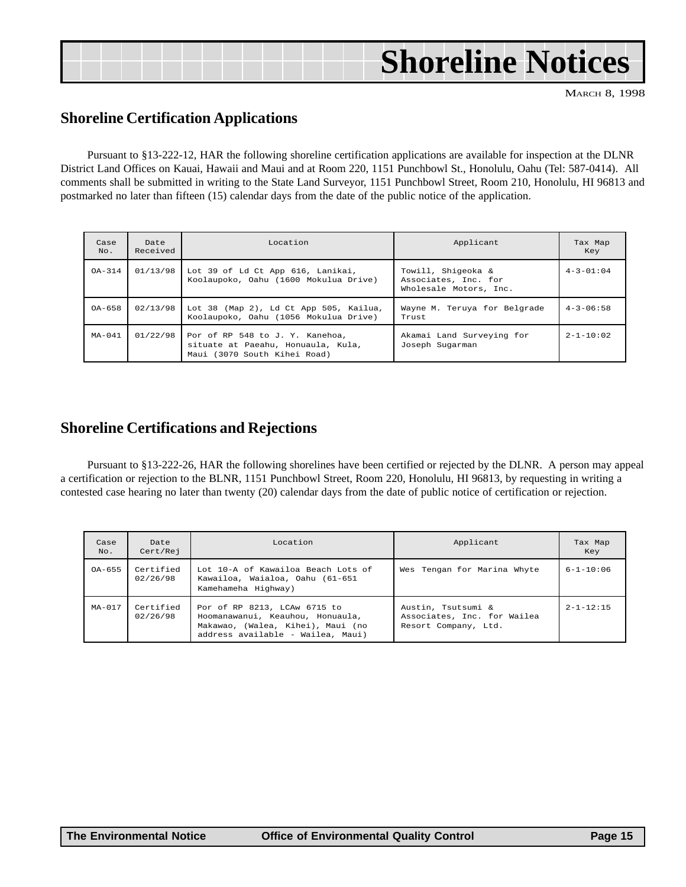|  | <b>Shoreline Notices</b> |
|--|--------------------------|
|  |                          |

## **Shoreline Certification Applications**

Pursuant to §13-222-12, HAR the following shoreline certification applications are available for inspection at the DLNR District Land Offices on Kauai, Hawaii and Maui and at Room 220, 1151 Punchbowl St., Honolulu, Oahu (Tel: 587-0414). All comments shall be submitted in writing to the State Land Surveyor, 1151 Punchbowl Street, Room 210, Honolulu, HI 96813 and postmarked no later than fifteen (15) calendar days from the date of the public notice of the application.

| Pursuant to §13-222-12, HAR the following shoreline certification applications are available for inspection at the DLNI<br>rict Land Offices on Kauai, Hawaii and Maui and at Room 220, 1151 Punchbowl St., Honolulu, Oahu (Tel: 587-0414). A<br>a Street, Room 210, Honolulu, HI 96813 |
|-----------------------------------------------------------------------------------------------------------------------------------------------------------------------------------------------------------------------------------------------------------------------------------------|
|                                                                                                                                                                                                                                                                                         |
| Tax Map<br>Key                                                                                                                                                                                                                                                                          |
| $4 - 3 - 01:04$                                                                                                                                                                                                                                                                         |
| $4 - 3 - 06:58$<br>Wayne M. Teruya for Belgrade                                                                                                                                                                                                                                         |
| $2 - 1 - 10:02$                                                                                                                                                                                                                                                                         |
|                                                                                                                                                                                                                                                                                         |

### **Shoreline Certifications and Rejections**

Pursuant to §13-222-26, HAR the following shorelines have been certified or rejected by the DLNR. A person may appeal a certification or rejection to the BLNR, 1151 Punchbowl Street, Room 220, Honolulu, HI 96813, by requesting in writing a contested case hearing no later than twenty (20) calendar days from the date of public notice of certification or rejection.

| Case<br>No. | Date<br>Cert/Rej      | Location                                                                                                                                   | Applicant                                                                 | Tax Map<br>Key  |
|-------------|-----------------------|--------------------------------------------------------------------------------------------------------------------------------------------|---------------------------------------------------------------------------|-----------------|
| $0A - 655$  | Certified<br>02/26/98 | Lot 10-A of Kawailoa Beach Lots of<br>Kawailoa, Waialoa, Oahu (61-651<br>Kamehameha Highway)                                               | Wes Tengan for Marina Whyte                                               | $6 - 1 - 10:06$ |
| $MA-017$    | Certified<br>02/26/98 | Por of RP 8213, LCAw 6715 to<br>Hoomanawanui, Keauhou, Honuaula,<br>Makawao, (Walea, Kihei), Maui (no<br>address available - Wailea, Maui) | Austin, Tsutsumi &<br>Associates, Inc. for Wailea<br>Resort Company, Ltd. | $2 - 1 - 12:15$ |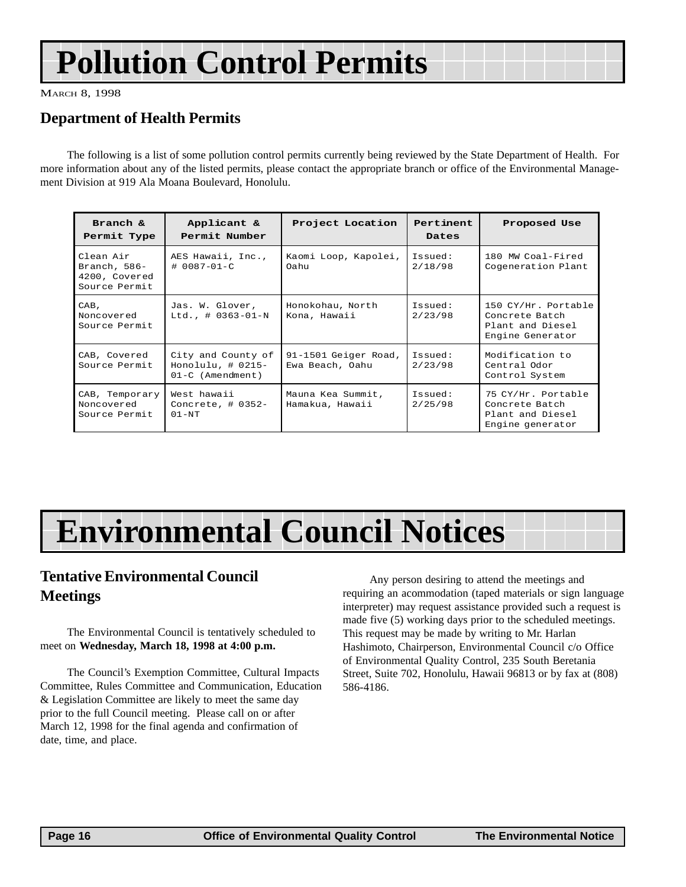## <span id="page-15-0"></span>**Pollution Control Permits**

MARCH 8, 1998

## **Department of Health Permits**

The following is a list of some pollution control permits currently being reviewed by the State Department of Health. For more information about any of the listed permits, please contact the appropriate branch or office of the Environmental Management Division at 919 Ala Moana Boulevard, Honolulu.

| Branch &<br>Permit Type                                       | Applicant &<br>Permit Number                                   | Project Location                        | Pertinent<br>Dates | Proposed Use                                                                  |
|---------------------------------------------------------------|----------------------------------------------------------------|-----------------------------------------|--------------------|-------------------------------------------------------------------------------|
| Clean Air<br>Branch, $586-$<br>4200, Covered<br>Source Permit | AES Hawaii, Inc.,<br># 0087-01-C                               | Kaomi Loop, Kapolei,<br>Oahu            | Issued:<br>2/18/98 | 180 MW Coal-Fired<br>Cogeneration Plant                                       |
| CAB,<br>Noncovered<br>Source Permit                           | Jas. W. Glover,<br>Ltd., $\#$ 0363-01-N                        | Honokohau, North<br>Kona, Hawaii        | Issued:<br>2/23/98 | 150 CY/Hr. Portable<br>Concrete Batch<br>Plant and Diesel<br>Engine Generator |
| CAB, Covered<br>Source Permit                                 | City and County of<br>Honolulu, $\#$ 0215-<br>01-C (Amendment) | 91-1501 Geiger Road,<br>Ewa Beach, Oahu | Issued:<br>2/23/98 | Modification to<br>Central Odor<br>Control System                             |
| CAB, Temporary<br>Noncovered<br>Source Permit                 | West hawaii<br>Concrete, $\#$ 0352-<br>$01 - NT$               | Mauna Kea Summit,<br>Hamakua, Hawaii    | Issued:<br>2/25/98 | 75 CY/Hr. Portable<br>Concrete Batch<br>Plant and Diesel<br>Engine generator  |

## **Environmental Council Notices**

## **Tentative Environmental Council Meetings**

The Environmental Council is tentatively scheduled to meet on **Wednesday, March 18, 1998 at 4:00 p.m.**

The Council's Exemption Committee, Cultural Impacts Committee, Rules Committee and Communication, Education & Legislation Committee are likely to meet the same day prior to the full Council meeting. Please call on or after March 12, 1998 for the final agenda and confirmation of date, time, and place.

Any person desiring to attend the meetings and requiring an acommodation (taped materials or sign language interpreter) may request assistance provided such a request is made five (5) working days prior to the scheduled meetings. This request may be made by writing to Mr. Harlan Hashimoto, Chairperson, Environmental Council c/o Office of Environmental Quality Control, 235 South Beretania Street, Suite 702, Honolulu, Hawaii 96813 or by fax at (808) 586-4186.